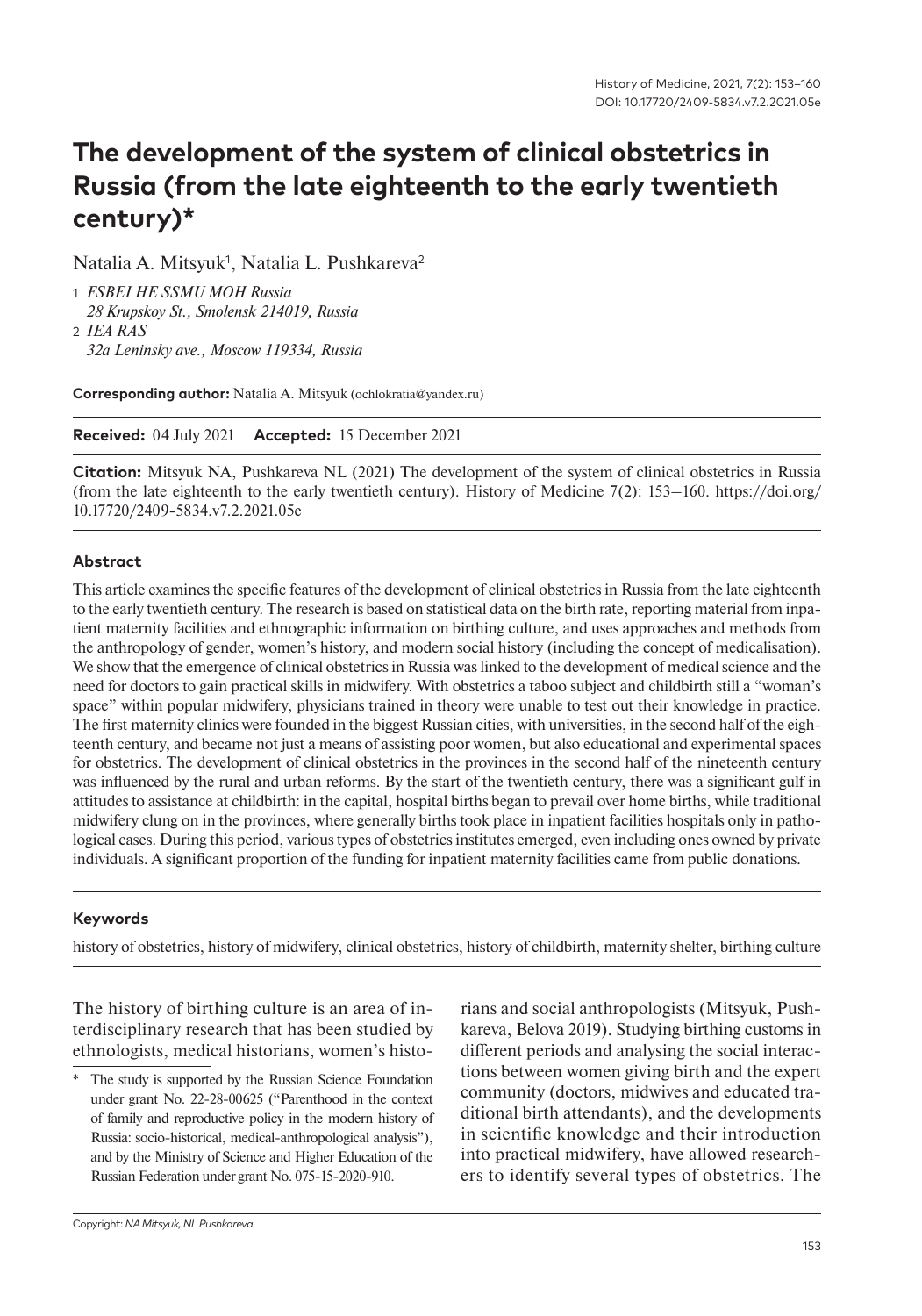# **The development of the system of clinical obstetrics in Russia (from the late eighteenth to the early twentieth century)\***

Natalia A. Mitsyuk<sup>1</sup>, Natalia L. Pushkareva<sup>2</sup>

- 1 *FSBEI HE SSMU MOH Russia 28 Krupskoy St., Smolensk 214019, Russia* 2 *IEA RAS*
- *32a Leninsky ave., Moscow 119334, Russia*

**Corresponding author:** Natalia A. Mitsyuk (ochlokratia@yandex.ru)

**Received:** 04 July 2021 **Accepted:** 15 December 2021

**Citation:** Mitsyuk NA, Pushkareva NL (2021) The development of the system of clinical obstetrics in Russia (from the late eighteenth to the early twentieth century). History of Medicine 7(2): 153–160. https://doi.org/ 10.17720/2409-5834.v7.2.2021.05e

#### **Abstract**

This article examines the specific features of the development of clinical obstetrics in Russia from the late eighteenth to the early twentieth century. The research is based on statistical data on the birth rate, reporting material from inpatient maternity facilities and ethnographic information on birthing culture, and uses approaches and methods from the anthropology of gender, women's history, and modern social history (including the concept of medicalisation). We show that the emergence of clinical obstetrics in Russia was linked to the development of medical science and the need for doctors to gain practical skills in midwifery. With obstetrics a taboo subject and childbirth still a "woman's space" within popular midwifery, physicians trained in theory were unable to test out their knowledge in practice. The first maternity clinics were founded in the biggest Russian cities, with universities, in the second half of the eighteenth century, and became not just a means of assisting poor women, but also educational and experimental spaces for obstetrics. The development of clinical obstetrics in the provinces in the second half of the nineteenth century was influenced by the rural and urban reforms. By the start of the twentieth century, there was a significant gulf in attitudes to assistance at childbirth: in the capital, hospital births began to prevail over home births, while traditional midwifery clung on in the provinces, where generally births took place in inpatient facilities hospitals only in pathological cases. During this period, various types of obstetrics institutes emerged, even including ones owned by private individuals. A significant proportion of the funding for inpatient maternity facilities came from public donations.

#### **Keywords**

history of obstetrics, history of midwifery, clinical obstetrics, history of childbirth, maternity shelter, birthing culture

The history of birthing culture is an area of interdisciplinary research that has been studied by ethnologists, medical historians, women's historians and social anthropologists (Mitsyuk, Pushkareva, Belova 2019). Studying birthing customs in different periods and analysing the social interactions between women giving birth and the expert community (doctors, midwives and educated traditional birth attendants), and the developments in scientific knowledge and their introduction into practical midwifery, have allowed researchers to identify several types of obstetrics. The

The study is supported by the Russian Science Foundation under grant No. 22-28-00625 ("Parenthood in the context of family and reproductive policy in the modern history of Russia: socio-historical, medical-anthropological analysis"), and by the Ministry of Science and Higher Education of the Russian Federation under grant No. 075-15-2020-910.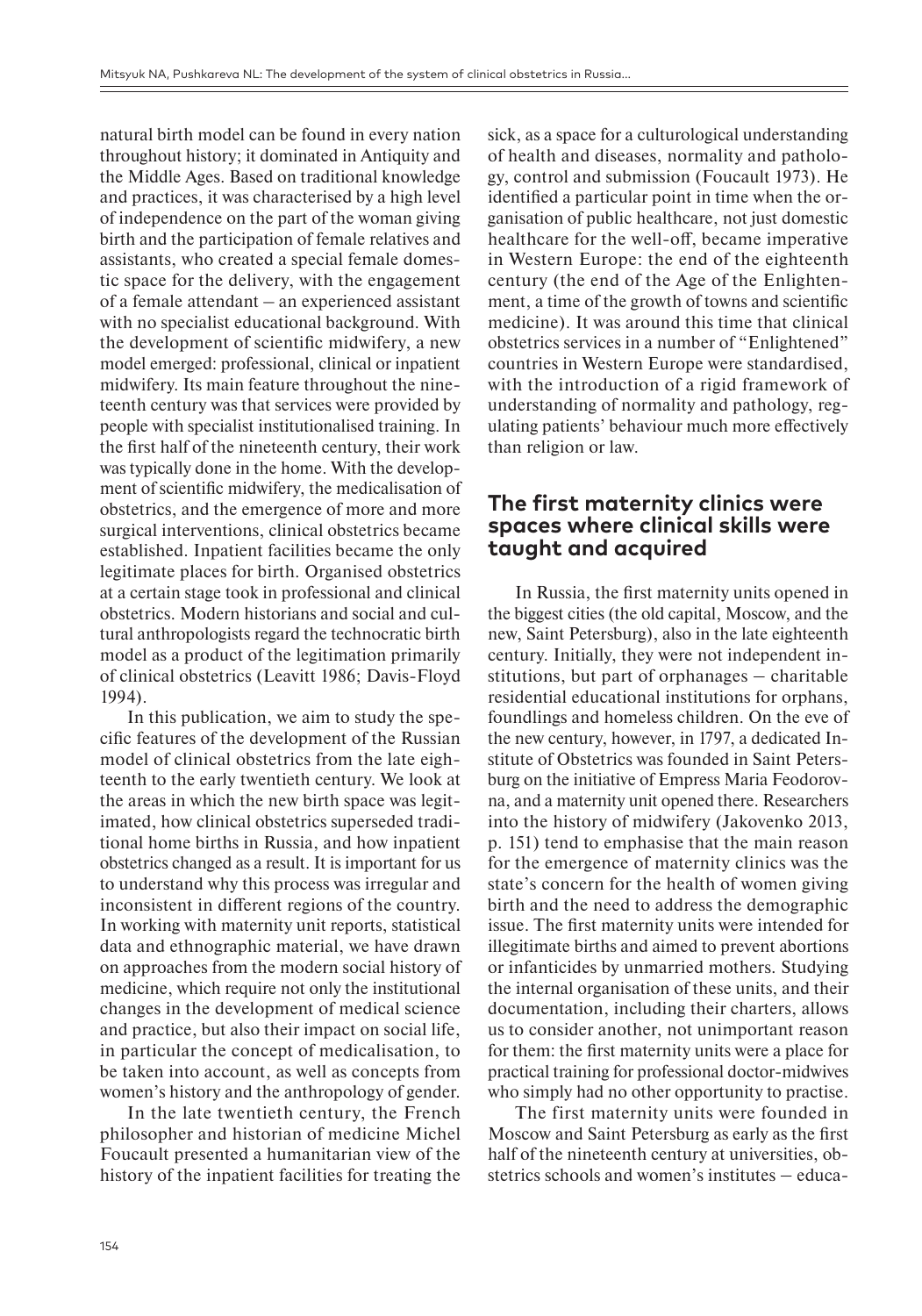natural birth model can be found in every nation throughout history; it dominated in Antiquity and the Middle Ages. Based on traditional knowledge and practices, it was characterised by a high level of independence on the part of the woman giving birth and the participation of female relatives and assistants, who created a special female domestic space for the delivery, with the engagement of a female attendant – an experienced assistant with no specialist educational background. With the development of scientific midwifery, a new model emerged: professional, clinical or inpatient midwifery. Its main feature throughout the nineteenth century was that services were provided by people with specialist institutionalised training. In the first half of the nineteenth century, their work was typically done in the home. With the development of scientific midwifery, the medicalisation of obstetrics, and the emergence of more and more surgical interventions, clinical obstetrics became established. Inpatient facilities became the only legitimate places for birth. Organised obstetrics at a certain stage took in professional and clinical obstetrics. Modern historians and social and cultural anthropologists regard the technocratic birth model as a product of the legitimation primarily of clinical obstetrics (Leavitt 1986; Davis-Floyd 1994).

In this publication, we aim to study the specific features of the development of the Russian model of clinical obstetrics from the late eighteenth to the early twentieth century. We look at the areas in which the new birth space was legitimated, how clinical obstetrics superseded traditional home births in Russia, and how inpatient obstetrics changed as a result. It is important for us to understand why this process was irregular and inconsistent in different regions of the country. In working with maternity unit reports, statistical data and ethnographic material, we have drawn on approaches from the modern social history of medicine, which require not only the institutional changes in the development of medical science and practice, but also their impact on social life, in particular the concept of medicalisation, to be taken into account, as well as concepts from women's history and the anthropology of gender.

In the late twentieth century, the French philosopher and historian of medicine Michel Foucault presented a humanitarian view of the history of the inpatient facilities for treating the

sick, as a space for a culturological understanding of health and diseases, normality and pathology, control and submission (Foucault 1973). He identified a particular point in time when the organisation of public healthcare, not just domestic healthcare for the well-off, became imperative in Western Europe: the end of the eighteenth century (the end of the Age of the Enlightenment, a time of the growth of towns and scientific medicine). It was around this time that clinical obstetrics services in a number of "Enlightened" countries in Western Europe were standardised, with the introduction of a rigid framework of understanding of normality and pathology, regulating patients' behaviour much more effectively than religion or law.

### **The first maternity clinics were spaces where clinical skills were taught and acquired**

In Russia, the first maternity units opened in the biggest cities (the old capital, Moscow, and the new, Saint Petersburg), also in the late eighteenth century. Initially, they were not independent in $s$ titutions, but part of orphanages  $-$  charitable residential educational institutions for orphans, foundlings and homeless children. On the eve of the new century, however, in 1797, a dedicated Institute of Obstetrics was founded in Saint Petersburg on the initiative of Empress Maria Feodorovna, and a maternity unit opened there. Researchers into the history of midwifery (Jakovenko 2013, p. 151) tend to emphasise that the main reason for the emergence of maternity clinics was the state's concern for the health of women giving birth and the need to address the demographic issue. The first maternity units were intended for illegitimate births and aimed to prevent abortions or infanticides by unmarried mothers. Studying the internal organisation of these units, and their documentation, including their charters, allows us to consider another, not unimportant reason for them: the first maternity units were a place for practical training for professional doctor-midwives who simply had no other opportunity to practise.

The first maternity units were founded in Moscow and Saint Petersburg as early as the first half of the nineteenth century at universities, obstetrics schools and women's institutes – educa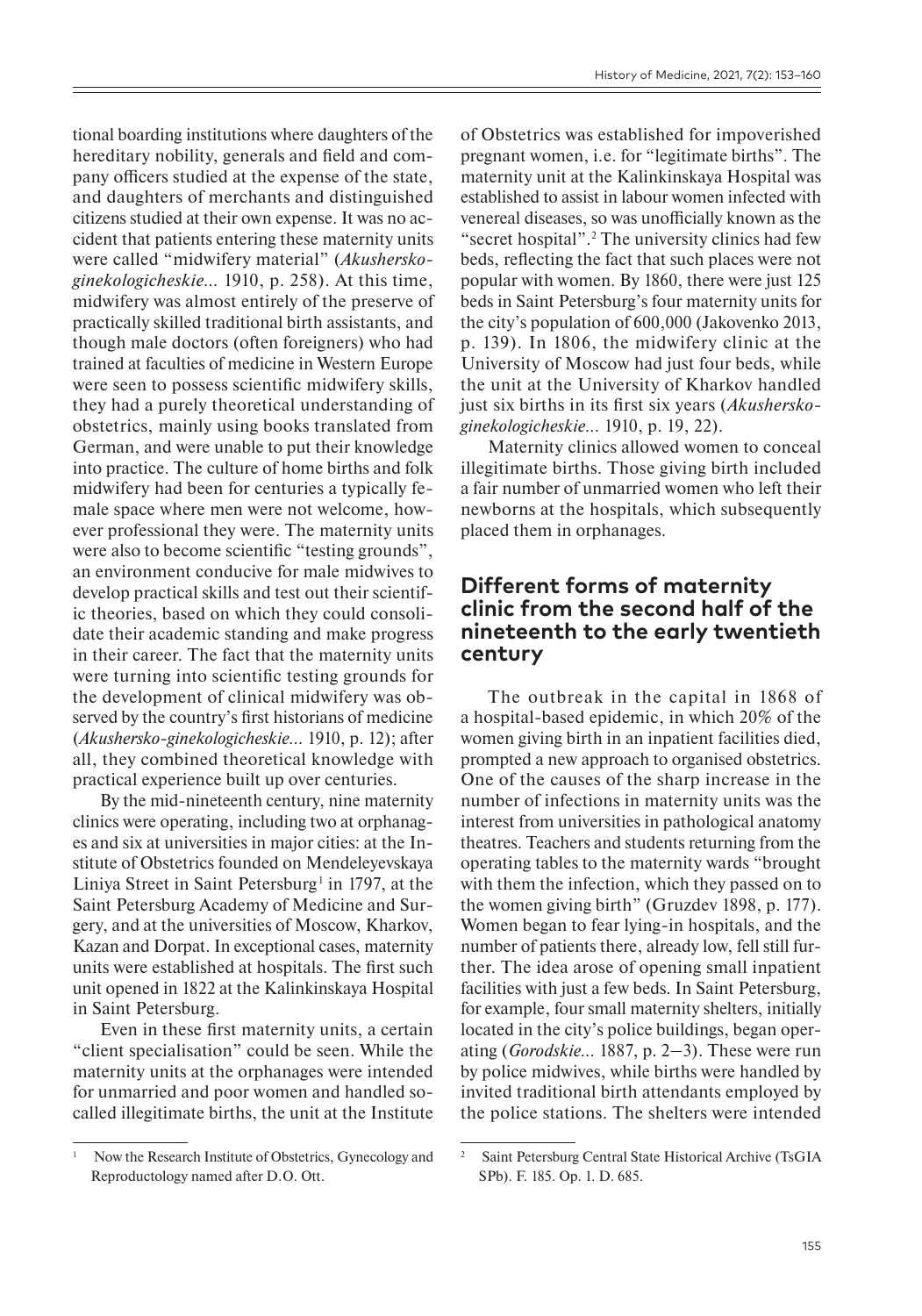tional boarding institutions where daughters of the hereditary nobility, generals and field and company officers studied at the expense of the state, and daughters of merchants and distinguished citizens studied at their own expense. It was no accident that patients entering these maternity units were called "midwifery material" (*Akusherskoginekologicheskie…* 1910, p. 258). At this time, midwifery was almost entirely of the preserve of practically skilled traditional birth assistants, and though male doctors (often foreigners) who had trained at faculties of medicine in Western Europe were seen to possess scientific midwifery skills, they had a purely theoretical understanding of obstetrics, mainly using books translated from German, and were unable to put their knowledge into practice. The culture of home births and folk midwifery had been for centuries a typically female space where men were not welcome, however professional they were. The maternity units were also to become scientific "testing grounds", an environment conducive for male midwives to develop practical skills and test out their scientific theories, based on which they could consolidate their academic standing and make progress in their career. The fact that the maternity units were turning into scientific testing grounds for the development of clinical midwifery was observed by the country's first historians of medicine (*Akushersko-ginekologicheskie…* 1910, p. 12); after all, they combined theoretical knowledge with practical experience built up over centuries.

By the mid-nineteenth century, nine maternity clinics were operating, including two at orphanages and six at universities in major cities: at the Institute of Obstetrics founded on Mendeleyevskaya Liniya Street in Saint Petersburg<sup>1</sup> in 1797, at the Saint Petersburg Academy of Medicine and Surgery, and at the universities of Moscow, Kharkov, Kazan and Dorpat. In exceptional cases, maternity units were established at hospitals. The first such unit opened in 1822 at the Kalinkinskaya Hospital in Saint Petersburg.

Even in these first maternity units, a certain "client specialisation" could be seen. While the maternity units at the orphanages were intended for unmarried and poor women and handled socalled illegitimate births, the unit at the Institute

of Obstetrics was established for impoverished pregnant women, i.e. for "legitimate births". The maternity unit at the Kalinkinskaya Hospital was established to assist in labour women infected with venereal diseases, so was unofficially known as the "secret hospital".2 The university clinics had few beds, reflecting the fact that such places were not popular with women. By 1860, there were just 125 beds in Saint Petersburg's four maternity units for the city's population of 600,000 (Jakovenko 2013, p. 139). In 1806, the midwifery clinic at the University of Moscow had just four beds, while the unit at the University of Kharkov handled just six births in its first six years (*Akusherskoginekologicheskie…* 1910, p. 19, 22).

Maternity clinics allowed women to conceal illegitimate births. Those giving birth included a fair number of unmarried women who left their newborns at the hospitals, which subsequently placed them in orphanages.

#### **Different forms of maternity clinic from the second half of the nineteenth to the early twentieth century**

The outbreak in the capital in 1868 of a hospital-based epidemic, in which 20% of the women giving birth in an inpatient facilities died, prompted a new approach to organised obstetrics. One of the causes of the sharp increase in the number of infections in maternity units was the interest from universities in pathological anatomy theatres. Teachers and students returning from the operating tables to the maternity wards "brought with them the infection, which they passed on to the women giving birth" (Gruzdev 1898, p. 177). Women began to fear lying-in hospitals, and the number of patients there, already low, fell still further. The idea arose of opening small inpatient facilities with just a few beds. In Saint Petersburg, for example, four small maternity shelters, initially located in the city's police buildings, began operating (*Gorodskie…* 1887, p. 2‒3). These were run by police midwives, while births were handled by invited traditional birth attendants employed by the police stations. The shelters were intended

<sup>1</sup> Now the Research Institute of Obstetrics, Gynecology and Reproductology named after D.O. Ott.

<sup>2</sup> Saint Petersburg Central State Historical Archive (TsGIA SPb). F. 185. Op. 1. D. 685.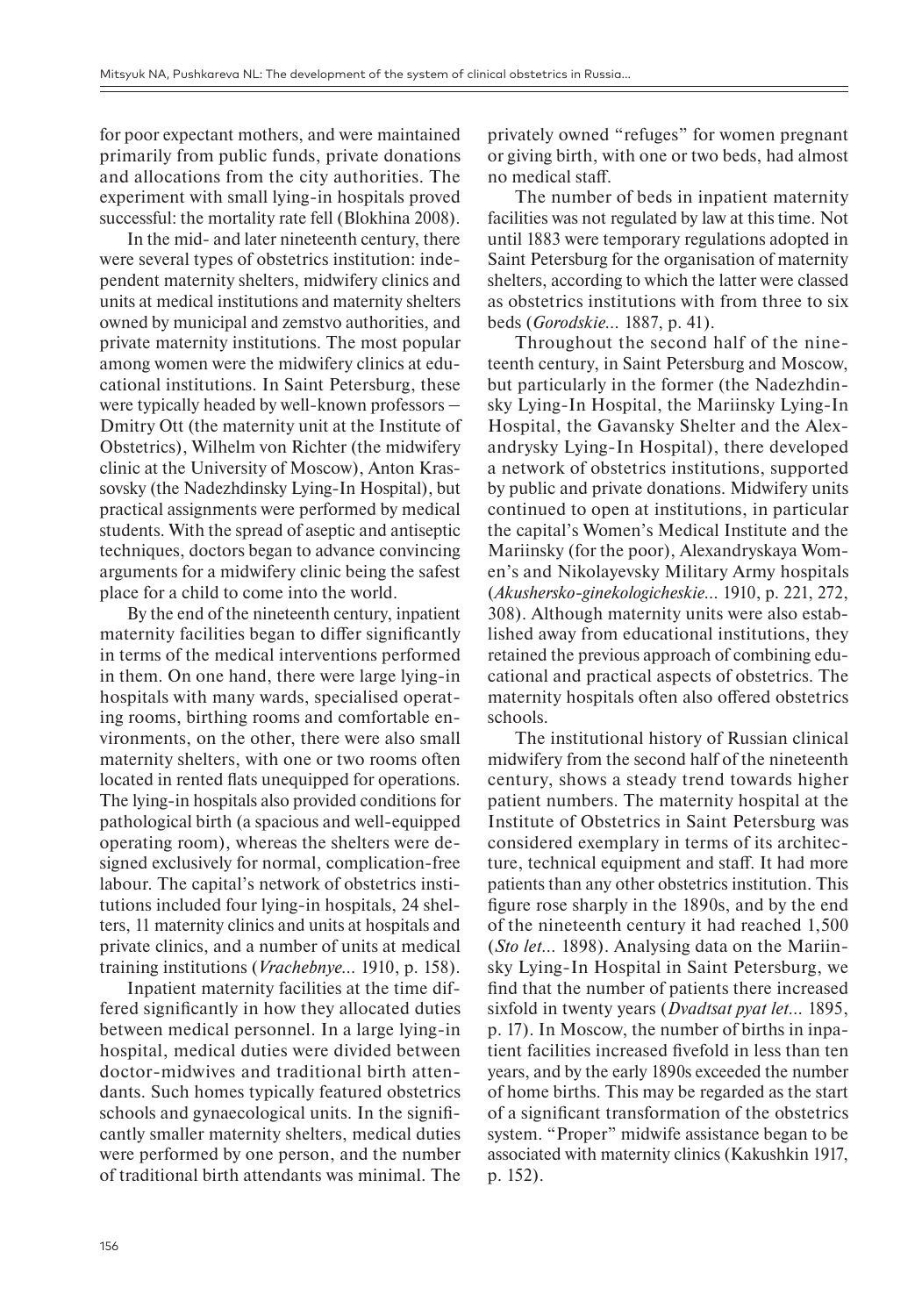for poor expectant mothers, and were maintained primarily from public funds, private donations and allocations from the city authorities. The experiment with small lying-in hospitals proved successful: the mortality rate fell (Blokhina 2008).

In the mid- and later nineteenth century, there were several types of obstetrics institution: independent maternity shelters, midwifery clinics and units at medical institutions and maternity shelters owned by municipal and zemstvo authorities, and private maternity institutions. The most popular among women were the midwifery clinics at educational institutions. In Saint Petersburg, these were typically headed by well-known professors – Dmitry Ott (the maternity unit at the Institute of Obstetrics), Wilhelm von Richter (the midwifery clinic at the University of Moscow), Anton Krassovsky (the Nadezhdinsky Lying-In Hospital), but practical assignments were performed by medical students. With the spread of aseptic and antiseptic techniques, doctors began to advance convincing arguments for a midwifery clinic being the safest place for a child to come into the world.

By the end of the nineteenth century, inpatient maternity facilities began to differ significantly in terms of the medical interventions performed in them. On one hand, there were large lying-in hospitals with many wards, specialised operating rooms, birthing rooms and comfortable environments, on the other, there were also small maternity shelters, with one or two rooms often located in rented flats unequipped for operations. The lying-in hospitals also provided conditions for pathological birth (a spacious and well-equipped operating room), whereas the shelters were designed exclusively for normal, complication-free labour. The capital's network of obstetrics institutions included four lying-in hospitals, 24 shelters, 11 maternity clinics and units at hospitals and private clinics, and a number of units at medical training institutions (*Vrachebnye…* 1910, p. 158).

Inpatient maternity facilities at the time differed significantly in how they allocated duties between medical personnel. In a large lying-in hospital, medical duties were divided between doctor-midwives and traditional birth attendants. Such homes typically featured obstetrics schools and gynaecological units. In the significantly smaller maternity shelters, medical duties were performed by one person, and the number of traditional birth attendants was minimal. The

privately owned "refuges" for women pregnant or giving birth, with one or two beds, had almost no medical staff.

The number of beds in inpatient maternity facilities was not regulated by law at this time. Not until 1883 were temporary regulations adopted in Saint Petersburg for the organisation of maternity shelters, according to which the latter were classed as obstetrics institutions with from three to six beds (*Gorodskie…* 1887, p. 41).

Throughout the second half of the nineteenth century, in Saint Petersburg and Moscow, but particularly in the former (the Nadezhdinsky Lying-In Hospital, the Mariinsky Lying-In Hospital, the Gavansky Shelter and the Alexandrysky Lying-In Hospital), there developed a network of obstetrics institutions, supported by public and private donations. Midwifery units continued to open at institutions, in particular the capital's Women's Medical Institute and the Mariinsky (for the poor), Alexandryskaya Women's and Nikolayevsky Military Army hospitals (*Akushersko-ginekologicheskie…* 1910, p. 221, 272, 308). Although maternity units were also established away from educational institutions, they retained the previous approach of combining educational and practical aspects of obstetrics. The maternity hospitals often also offered obstetrics schools.

The institutional history of Russian clinical midwifery from the second half of the nineteenth century, shows a steady trend towards higher patient numbers. The maternity hospital at the Institute of Obstetrics in Saint Petersburg was considered exemplary in terms of its architecture, technical equipment and staff. It had more patients than any other obstetrics institution. This figure rose sharply in the 1890s, and by the end of the nineteenth century it had reached 1,500 (*Sto let…* 1898). Analysing data on the Mariinsky Lying-In Hospital in Saint Petersburg, we find that the number of patients there increased sixfold in twenty years (*Dvadtsat pyat let…* 1895, p. 17). In Moscow, the number of births in inpatient facilities increased fivefold in less than ten years, and by the early 1890s exceeded the number of home births. This may be regarded as the start of a significant transformation of the obstetrics system. "Proper" midwife assistance began to be associated with maternity clinics (Kakushkin 1917, p. 152).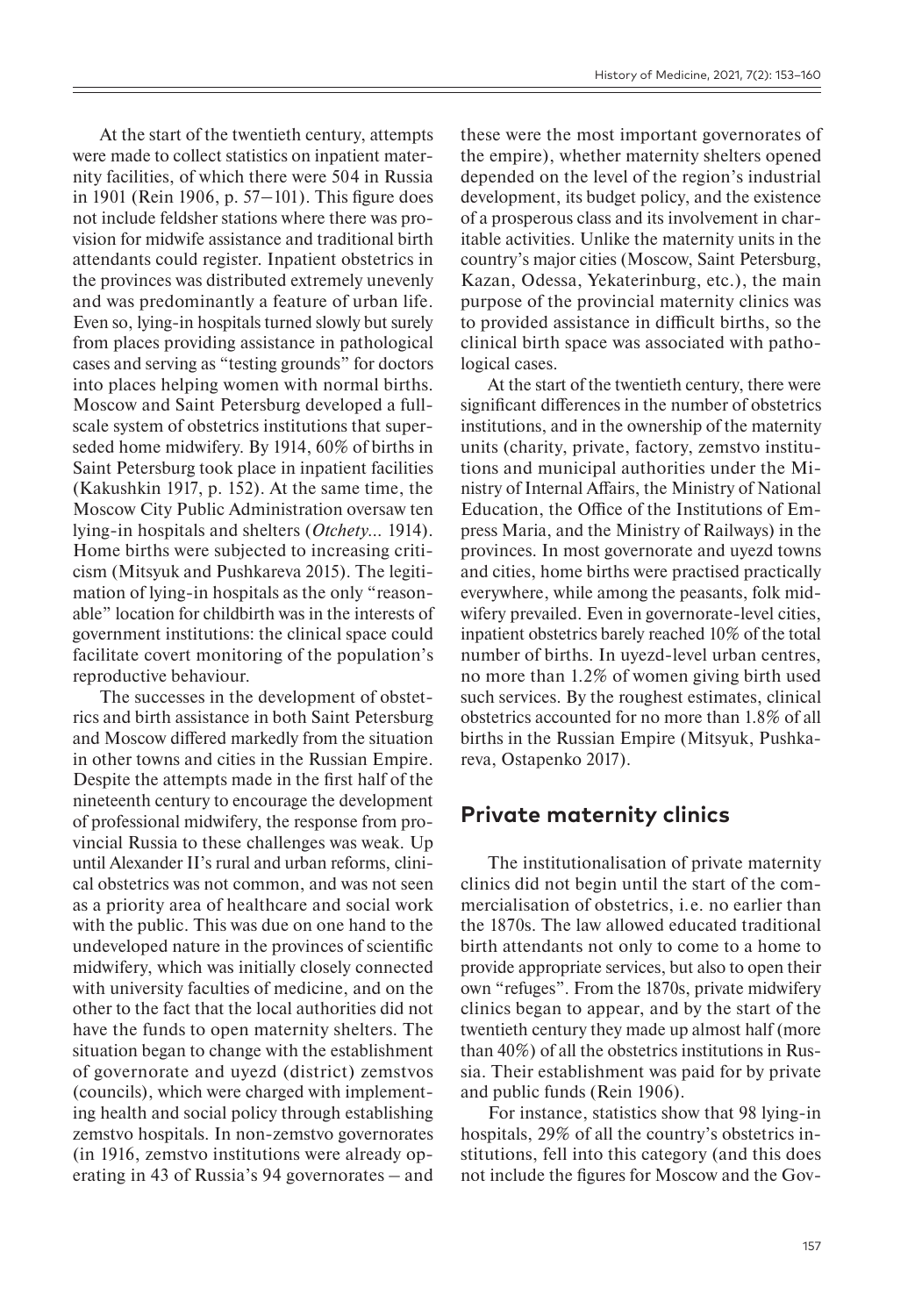At the start of the twentieth century, attempts were made to collect statistics on inpatient maternity facilities, of which there were 504 in Russia in 1901 (Rein 1906, p.  $57-101$ ). This figure does not include feldsher stations where there was provision for midwife assistance and traditional birth attendants could register. Inpatient obstetrics in the provinces was distributed extremely unevenly and was predominantly a feature of urban life. Even so, lying-in hospitals turned slowly but surely from places providing assistance in pathological cases and serving as "testing grounds" for doctors into places helping women with normal births. Moscow and Saint Petersburg developed a fullscale system of obstetrics institutions that superseded home midwifery. By 1914, 60% of births in Saint Petersburg took place in inpatient facilities (Kakushkin 1917, p. 152). At the same time, the Moscow City Public Administration oversaw ten lying-in hospitals and shelters (*Otchety…* 1914). Home births were subjected to increasing criticism (Mitsyuk and Pushkareva 2015). The legitimation of lying-in hospitals as the only "reasonable" location for childbirth was in the interests of government institutions: the clinical space could facilitate covert monitoring of the population's reproductive behaviour.

The successes in the development of obstetrics and birth assistance in both Saint Petersburg and Moscow differed markedly from the situation in other towns and cities in the Russian Empire. Despite the attempts made in the first half of the nineteenth century to encourage the development of professional midwifery, the response from provincial Russia to these challenges was weak. Up until Alexander II's rural and urban reforms, clinical obstetrics was not common, and was not seen as a priority area of healthcare and social work with the public. This was due on one hand to the undeveloped nature in the provinces of scientific midwifery, which was initially closely connected with university faculties of medicine, and on the other to the fact that the local authorities did not have the funds to open maternity shelters. The situation began to change with the establishment of governorate and uyezd (district) zemstvos (councils), which were charged with implementing health and social policy through establishing zemstvo hospitals. In non-zemstvo governorates (in 1916, zemstvo institutions were already operating in 43 of Russia's 94 governorates – and

these were the most important governorates of the empire), whether maternity shelters opened depended on the level of the region's industrial development, its budget policy, and the existence of a prosperous class and its involvement in charitable activities. Unlike the maternity units in the country's major cities (Moscow, Saint Petersburg, Kazan, Odessa, Yekaterinburg, etc.), the main purpose of the provincial maternity clinics was to provided assistance in difficult births, so the clinical birth space was associated with pathological cases.

At the start of the twentieth century, there were significant differences in the number of obstetrics institutions, and in the ownership of the maternity units (charity, private, factory, zemstvo institutions and municipal authorities under the Ministry of Internal Affairs, the Ministry of National Education, the Office of the Institutions of Empress Maria, and the Ministry of Railways) in the provinces. In most governorate and uyezd towns and cities, home births were practised practically everywhere, while among the peasants, folk midwifery prevailed. Even in governorate-level cities, inpatient obstetrics barely reached 10% of the total number of births. In uyezd-level urban centres, no more than 1.2% of women giving birth used such services. By the roughest estimates, clinical obstetrics accounted for no more than 1.8% of all births in the Russian Empire (Mitsyuk, Pushkareva, Ostapenko 2017).

## **Private maternity clinics**

The institutionalisation of private maternity clinics did not begin until the start of the commercialisation of obstetrics, i.e. no earlier than the 1870s. The law allowed educated traditional birth attendants not only to come to a home to provide appropriate services, but also to open their own "refuges". From the 1870s, private midwifery clinics began to appear, and by the start of the twentieth century they made up almost half (more than 40%) of all the obstetrics institutions in Russia. Their establishment was paid for by private and public funds (Rein 1906).

For instance, statistics show that 98 lying-in hospitals, 29% of all the country's obstetrics institutions, fell into this category (and this does not include the figures for Moscow and the Gov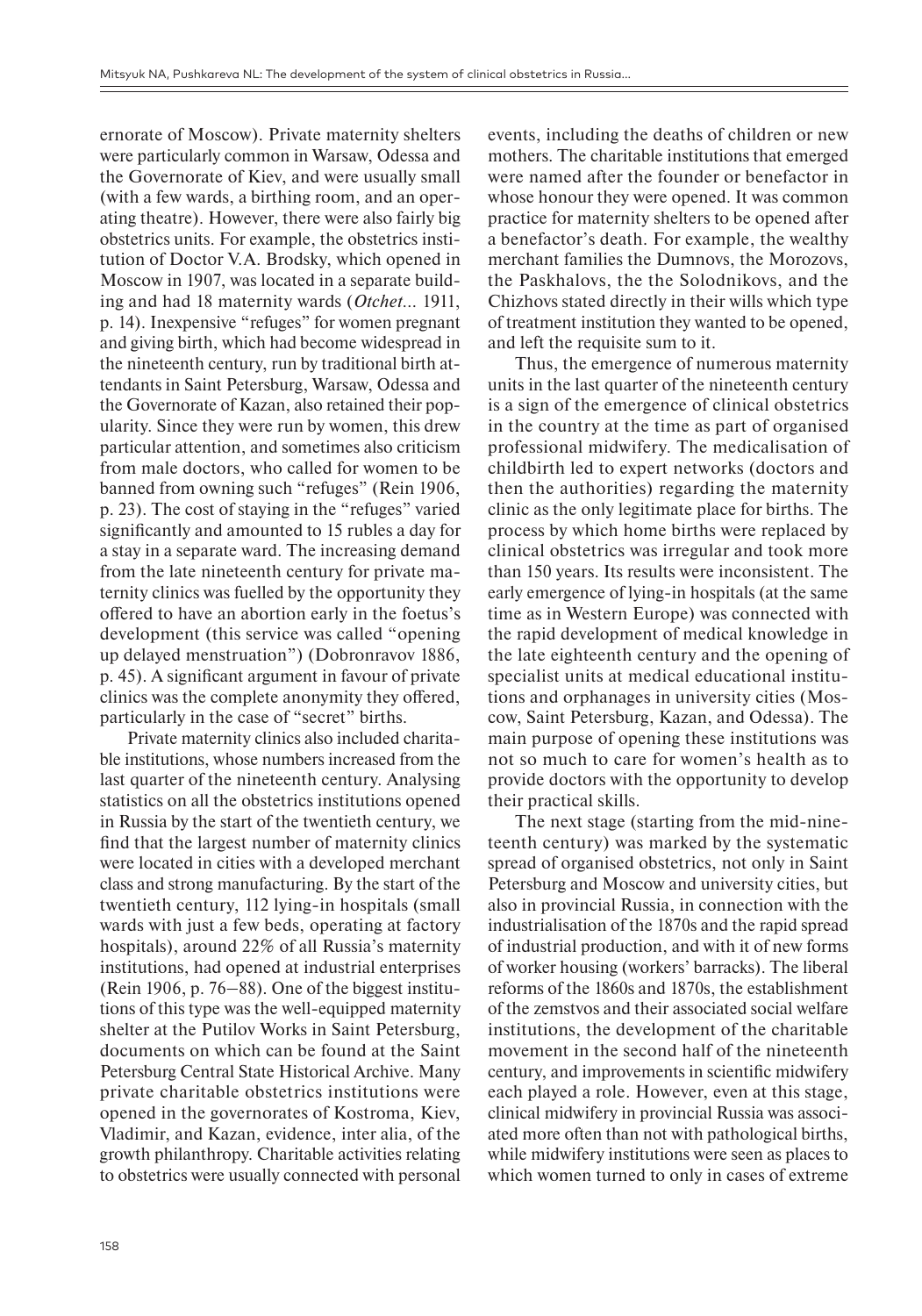ernorate of Moscow). Private maternity shelters were particularly common in Warsaw, Odessa and the Governorate of Kiev, and were usually small (with a few wards, a birthing room, and an operating theatre). However, there were also fairly big obstetrics units. For example, the obstetrics institution of Doctor V.A. Brodsky, which opened in Moscow in 1907, was located in a separate building and had 18 maternity wards (*Otchet…* 1911, p. 14). Inexpensive "refuges" for women pregnant and giving birth, which had become widespread in the nineteenth century, run by traditional birth attendants in Saint Petersburg, Warsaw, Odessa and the Governorate of Kazan, also retained their popularity. Since they were run by women, this drew particular attention, and sometimes also criticism from male doctors, who called for women to be banned from owning such "refuges" (Rein 1906, p. 23). The cost of staying in the "refuges" varied significantly and amounted to 15 rubles a day for a stay in a separate ward. The increasing demand from the late nineteenth century for private maternity clinics was fuelled by the opportunity they offered to have an abortion early in the foetus's development (this service was called "opening up delayed menstruation") (Dobronravov 1886, p. 45). A significant argument in favour of private clinics was the complete anonymity they offered, particularly in the case of "secret" births.

Private maternity clinics also included charitable institutions, whose numbers increased from the last quarter of the nineteenth century. Analysing statistics on all the obstetrics institutions opened in Russia by the start of the twentieth century, we find that the largest number of maternity clinics were located in cities with a developed merchant class and strong manufacturing. By the start of the twentieth century, 112 lying-in hospitals (small wards with just a few beds, operating at factory hospitals), around 22% of all Russia's maternity institutions, had opened at industrial enterprises (Rein 1906, p.  $76-88$ ). One of the biggest institutions of this type was the well-equipped maternity shelter at the Putilov Works in Saint Petersburg, documents on which can be found at the Saint Petersburg Central State Historical Archive. Many private charitable obstetrics institutions were opened in the governorates of Kostroma, Kiev, Vladimir, and Kazan, evidence, inter alia, of the growth philanthropy. Charitable activities relating to obstetrics were usually connected with personal

events, including the deaths of children or new mothers. The charitable institutions that emerged were named after the founder or benefactor in whose honour they were opened. It was common practice for maternity shelters to be opened after a benefactor's death. For example, the wealthy merchant families the Dumnovs, the Morozovs, the Paskhalovs, the the Solodnikovs, and the Chizhovs stated directly in their wills which type of treatment institution they wanted to be opened, and left the requisite sum to it.

Thus, the emergence of numerous maternity units in the last quarter of the nineteenth century is a sign of the emergence of clinical obstetrics in the country at the time as part of organised professional midwifery. The medicalisation of childbirth led to expert networks (doctors and then the authorities) regarding the maternity clinic as the only legitimate place for births. The process by which home births were replaced by clinical obstetrics was irregular and took more than 150 years. Its results were inconsistent. The early emergence of lying-in hospitals (at the same time as in Western Europe) was connected with the rapid development of medical knowledge in the late eighteenth century and the opening of specialist units at medical educational institutions and orphanages in university cities (Moscow, Saint Petersburg, Kazan, and Odessa). The main purpose of opening these institutions was not so much to care for women's health as to provide doctors with the opportunity to develop their practical skills.

The next stage (starting from the mid-nineteenth century) was marked by the systematic spread of organised obstetrics, not only in Saint Petersburg and Moscow and university cities, but also in provincial Russia, in connection with the industrialisation of the 1870s and the rapid spread of industrial production, and with it of new forms of worker housing (workers' barracks). The liberal reforms of the 1860s and 1870s, the establishment of the zemstvos and their associated social welfare institutions, the development of the charitable movement in the second half of the nineteenth century, and improvements in scientific midwifery each played a role. However, even at this stage, clinical midwifery in provincial Russia was associated more often than not with pathological births, while midwifery institutions were seen as places to which women turned to only in cases of extreme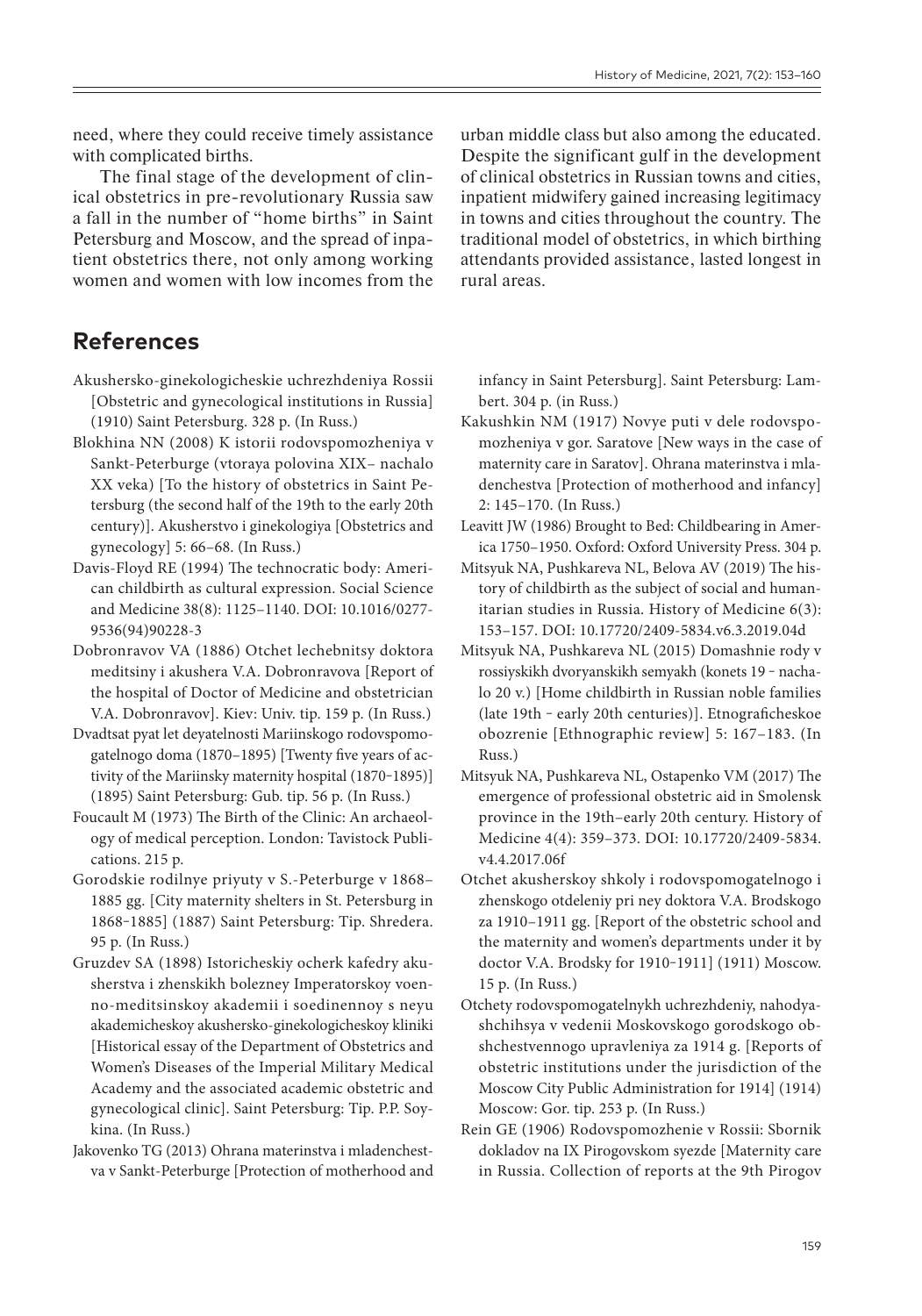need, where they could receive timely assistance with complicated births.

The final stage of the development of clinical obstetrics in pre-revolutionary Russia saw a fall in the number of "home births" in Saint Petersburg and Moscow, and the spread of inpatient obstetrics there, not only among working women and women with low incomes from the

**References**

Akushersko-ginekologicheskie uchrezhdeniya Rossii [Obstetric and gynecological institutions in Russia] (1910) Saint Petersburg. 328 p. (In Russ.)

- Blokhina NN (2008) K istorii rodovspomozheniya v Sankt-Peterburge (vtoraya polovina XIX– nachalo XX veka) [To the history of obstetrics in Saint Petersburg (the second half of the 19th to the early 20th century)]. Akusherstvo i ginekologiya [Obstetrics and gynecology] 5: 66–68. (In Russ.)
- Davis-Floyd RE (1994) The technocratic body: American childbirth as cultural expression. Social Science and Medicine 38(8): 1125–1140. DOI: 10.1016/0277- 9536(94)90228-3
- Dobronravov VA (1886) Otchet lechebnitsy doktora meditsiny i akushera V.A. Dobronravova [Report of the hospital of Doctor of Medicine and obstetrician V.A. Dobronravov]. Kiev: Univ. tip. 159 p. (In Russ.)
- Dvadtsat pyat let deyatelnosti Mariinskogo rodovspomogatelnogo doma (1870–1895) [Twenty five years of activity of the Mariinsky maternity hospital (1870-1895)] (1895) Saint Petersburg: Gub. tip. 56 p. (In Russ.)
- Foucault M (1973) The Birth of the Clinic: An archaeology of medical perception. London: Tavistock Publications. 215 p.
- Gorodskie rodilnye priyuty v S.-Peterburge v 1868– 1885 gg. [City maternity shelters in St. Petersburg in 1868-1885] (1887) Saint Petersburg: Tip. Shredera. 95 p. (In Russ.)
- Gruzdev SA (1898) Istoricheskiy ocherk kafedry akusherstva i zhenskikh bolezney Imperatorskoy voenno-meditsinskoy akademii i soedinennoy s neyu akademicheskoy akushersko-ginekologicheskoy kliniki [Historical essay of the Department of Obstetrics and Women's Diseases of the Imperial Military Medical Academy and the associated academic obstetric and gynecological clinic]. Saint Petersburg: Tip. P.P. Soykina. (In Russ.)
- Jakovenko TG (2013) Ohrana materinstva i mladenchestva v Sankt-Peterburge [Protection of motherhood and

urban middle class but also among the educated. Despite the significant gulf in the development of clinical obstetrics in Russian towns and cities, inpatient midwifery gained increasing legitimacy in towns and cities throughout the country. The traditional model of obstetrics, in which birthing attendants provided assistance, lasted longest in rural areas.

infancy in Saint Petersburg]. Saint Petersburg: Lambert. 304 p. (in Russ.)

- Kakushkin NM (1917) Novye puti v dele rodovspomozheniya v gor. Saratove [New ways in the case of maternity care in Saratov]. Ohrana materinstva i mladenchestva [Protection of motherhood and infancy] 2: 145–170. (In Russ.)
- Leavitt JW (1986) Brought to Bed: Childbearing in America 1750–1950. Oxford: Oxford University Press. 304 p.
- Mitsyuk NA, Pushkareva NL, Belova AV (2019) The history of childbirth as the subject of social and humanitarian studies in Russia. History of Medicine 6(3): 153–157. DOI: 10.17720/2409-5834.v6.3.2019.04d
- Mitsyuk NA, Pushkareva NL (2015) Domashnie rody v rossiyskikh dvoryanskikh semyakh (konets 19 - nachalo 20 v.) [Home childbirth in Russian noble families (late 19th - early 20th centuries)]. Etnograficheskoe obozrenie [Ethnographic review] 5: 167–183. (In Russ.)
- Mitsyuk NA, Pushkareva NL, Ostapenko VM (2017) The emergence of professional obstetric aid in Smolensk province in the 19th–early 20th century. History of Medicine 4(4): 359–373. DOI: 10.17720/2409-5834. v4.4.2017.06f
- Otchet akusherskoy shkoly i rodovspomogatelnogo i zhenskogo otdeleniy pri ney doktora V.A. Brodskogo za 1910–1911 gg. [Report of the obstetric school and the maternity and women's departments under it by doctor V.A. Brodsky for 1910-1911] (1911) Moscow. 15 p. (In Russ.)
- Otchety rodovspomogatelnykh uchrezhdeniy, nahodyashchihsya v vedenii Moskovskogo gorodskogo obshchestvennogo upravleniya za 1914 g. [Reports of obstetric institutions under the jurisdiction of the Moscow City Public Administration for 1914] (1914) Moscow: Gor. tip. 253 p. (In Russ.)
- Rein GE (1906) Rodovspomozhenie v Rossii: Sbornik dokladov na IX Pirogovskom syezde [Maternity care in Russia. Collection of reports at the 9th Pirogov